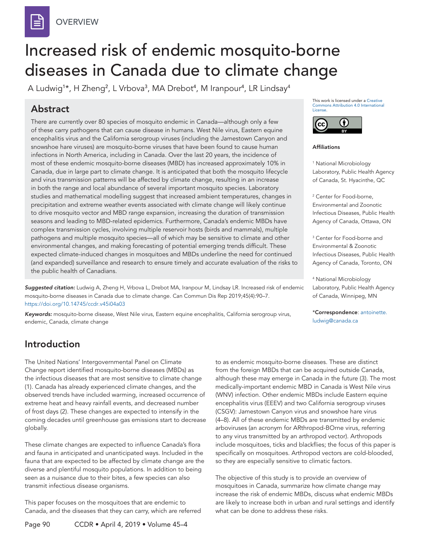

# Increased risk of endemic mosquito-borne diseases in Canada due to climate change

A Ludwig<sup>1</sup>\*, H Zheng<sup>2</sup>, L Vrbova<sup>3</sup>, MA Drebot<sup>4</sup>, M Iranpour<sup>4</sup>, LR Lindsay<sup>4</sup>

# Abstract

There are currently over 80 species of mosquito endemic in Canada—although only a few of these carry pathogens that can cause disease in humans. West Nile virus, Eastern equine encephalitis virus and the California serogroup viruses (including the Jamestown Canyon and snowshoe hare viruses) are mosquito-borne viruses that have been found to cause human infections in North America, including in Canada. Over the last 20 years, the incidence of most of these endemic mosquito-borne diseases (MBD) has increased approximately 10% in Canada, due in large part to climate change. It is anticipated that both the mosquito lifecycle and virus transmission patterns will be affected by climate change, resulting in an increase in both the range and local abundance of several important mosquito species. Laboratory studies and mathematical modelling suggest that increased ambient temperatures, changes in precipitation and extreme weather events associated with climate change will likely continue to drive mosquito vector and MBD range expansion, increasing the duration of transmission seasons and leading to MBD-related epidemics. Furthermore, Canada's endemic MBDs have complex transmission cycles, involving multiple reservoir hosts (birds and mammals), multiple pathogens and multiple mosquito species—all of which may be sensitive to climate and other environmental changes, and making forecasting of potential emerging trends difficult. These expected climate-induced changes in mosquitoes and MBDs underline the need for continued (and expanded) surveillance and research to ensure timely and accurate evaluation of the risks to the public health of Canadians.

*Suggested citation:* Ludwig A, Zheng H, Vrbova L, Drebot MA, Iranpour M, Lindsay LR. Increased risk of endemic mosquito-borne diseases in Canada due to climate change. Can Commun Dis Rep 2019;45(4):90–7. [https://doi.org/](https://doi.org/.....)10.14745/ccdr.v45i04a03

*Keywords:* mosquito-borne disease, West Nile virus, Eastern equine encephalitis, California serogroup virus, endemic, Canada, climate change

# Introduction

The United Nations' Intergovernmental Panel on Climate Change report identified mosquito-borne diseases (MBDs) as the infectious diseases that are most sensitive to climate change (1). Canada has already experienced climate changes, and the observed trends have included warming, increased occurrence of extreme heat and heavy rainfall events, and decreased number of frost days (2). These changes are expected to intensify in the coming decades until greenhouse gas emissions start to decrease globally.

These climate changes are expected to influence Canada's flora and fauna in anticipated and unanticipated ways. Included in the fauna that are expected to be affected by climate change are the diverse and plentiful mosquito populations. In addition to being seen as a nuisance due to their bites, a few species can also transmit infectious disease organisms.

This paper focuses on the mosquitoes that are endemic to Canada, and the diseases that they can carry, which are referred This work is licensed under a [Creative](https://creativecommons.org/licenses/by/4.0/)  [Commons Attribution 4.0 International](https://creativecommons.org/licenses/by/4.0/)  [License](https://creativecommons.org/licenses/by/4.0/).



Affiliations

1 National Microbiology Laboratory, Public Health Agency of Canada, St. Hyacinthe, QC

2 Center for Food-borne, Environmental and Zoonotic Infectious Diseases, Public Health Agency of Canada, Ottawa, ON

3 Center for Food-borne and Environmental & Zoonotic Infectious Diseases, Public Health Agency of Canada, Toronto, ON

4 National Microbiology Laboratory, Public Health Agency of Canada, Winnipeg, MN

\*Correspondence: [antoinette.](mailto:antoinette.ludwig@canada.ca) [ludwig@canada.ca](mailto:antoinette.ludwig@canada.ca)

to as endemic mosquito-borne diseases. These are distinct from the foreign MBDs that can be acquired outside Canada, although these may emerge in Canada in the future (3). The most medically-important endemic MBD in Canada is West Nile virus (WNV) infection. Other endemic MBDs include Eastern equine encephalitis virus (EEEV) and two California serogroup viruses (CSGV): Jamestown Canyon virus and snowshoe hare virus (4–8). All of these endemic MBDs are transmitted by endemic arboviruses (an acronym for ARthropod-BOrne virus, referring to any virus transmitted by an arthropod vector). Arthropods include mosquitoes, ticks and blackflies; the focus of this paper is specifically on mosquitoes. Arthropod vectors are cold-blooded, so they are especially sensitive to climatic factors.

The objective of this study is to provide an overview of mosquitoes in Canada, summarize how climate change may increase the risk of endemic MBDs, discuss what endemic MBDs are likely to increase both in urban and rural settings and identify what can be done to address these risks.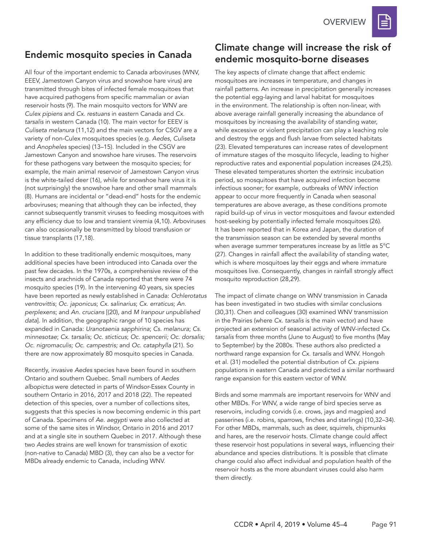## Endemic mosquito species in Canada

All four of the important endemic to Canada arboviruses (WNV, EEEV, Jamestown Canyon virus and snowshoe hare virus) are transmitted through bites of infected female mosquitoes that have acquired pathogens from specific mammalian or avian reservoir hosts (9). The main mosquito vectors for WNV are *Culex pipiens* and *Cx. restuans* in eastern Canada and *Cx. tarsalis* in western Canada (10). The main vector for EEEV is *Culiseta melanura* (11,12) and the main vectors for CSGV are a variety of non-Culex mosquitoes species (e.g. *Aedes*, *Culiseta* and *Anopheles* species) (13–15). Included in the CSGV are Jamestown Canyon and snowshoe hare viruses. The reservoirs for these pathogens vary between the mosquito species; for example, the main animal reservoir of Jamestown Canyon virus is the white-tailed deer (16), while for snowshoe hare virus it is (not surprisingly) the snowshoe hare and other small mammals (8). Humans are incidental or "dead-end" hosts for the endemic arboviruses; meaning that although they can be infected, they cannot subsequently transmit viruses to feeding mosquitoes with any efficiency due to low and transient viremia (4,10). Arboviruses can also occasionally be transmitted by blood transfusion or tissue transplants (17,18).

In addition to these traditionally endemic mosquitoes, many additional species have been introduced into Canada over the past few decades. In the 1970s, a comprehensive review of the insects and arachnids of Canada reported that there were 74 mosquito species (19). In the intervening 40 years, six species have been reported as newly established in Canada: *Ochlerotatus ventrovittis*; *Oc. japonicus*; *Cx. salinarius*; *Cx. erraticus*; *An. perplexens*; and *An. crucians* [(20), and *M Iranpour unpublished data*]. In addition, the geographic range of 10 species has expanded in Canada: *Uranotaenia sapphirina*; *Cs. melanura*; *Cs. minnesotae*; *Cx. tarsalis*; *Oc. sticticus*; *Oc. spencerii; Oc. dorsalis; Oc. nigromaculis; Oc. campestris;* and *Oc. cataphylla* (21). So there are now approximately 80 mosquito species in Canada.

Recently, invasive *Aedes* species have been found in southern Ontario and southern Quebec. Small numbers of *Aedes albopictus* were detected in parts of Windsor-Essex County in southern Ontario in 2016, 2017 and 2018 (22). The repeated detection of this species, over a number of collections sites, suggests that this species is now becoming endemic in this part of Canada. Specimens of *Ae. aegypti* were also collected at some of the same sites in Windsor, Ontario in 2016 and 2017 and at a single site in southern Quebec in 2017. Although these two *Aedes* strains are well known for transmission of exotic (non-native to Canada) MBD (3), they can also be a vector for MBDs already endemic to Canada, including WNV.

## Climate change will increase the risk of endemic mosquito-borne diseases

The key aspects of climate change that affect endemic mosquitoes are increases in temperature, and changes in rainfall patterns. An increase in precipitation generally increases the potential egg-laying and larval habitat for mosquitoes in the environment. The relationship is often non-linear, with above average rainfall generally increasing the abundance of mosquitoes by increasing the availability of standing water, while excessive or violent precipitation can play a leaching role and destroy the eggs and flush larvae from selected habitats (23). Elevated temperatures can increase rates of development of immature stages of the mosquito lifecycle, leading to higher reproductive rates and exponential population increases (24,25). These elevated temperatures shorten the extrinsic incubation period, so mosquitoes that have acquired infection become infectious sooner; for example, outbreaks of WNV infection appear to occur more frequently in Canada when seasonal temperatures are above average, as these conditions promote rapid build-up of virus in vector mosquitoes and favour extended host-seeking by potentially infected female mosquitoes (26). It has been reported that in Korea and Japan, the duration of the transmission season can be extended by several months when average summer temperatures increase by as little as 5°C (27). Changes in rainfall affect the availability of standing water, which is where mosquitoes lay their eggs and where immature mosquitoes live. Consequently, changes in rainfall strongly affect mosquito reproduction (28,29).

The impact of climate change on WNV transmission in Canada has been investigated in two studies with similar conclusions (30,31). Chen and colleagues (30) examined WNV transmission in the Prairies (where *Cx. tarsalis* is the main vector) and have projected an extension of seasonal activity of WNV-infected *Cx. tarsalis* from three months (June to August) to five months (May to September) by the 2080s. These authors also predicted a northward range expansion for *Cx. tarsalis* and WNV. Hongoh et al. (31) modelled the potential distribution of *Cx. pipiens*  populations in eastern Canada and predicted a similar northward range expansion for this eastern vector of WNV.

Birds and some mammals are important reservoirs for WNV and other MBDs. For WNV, a wide range of bird species serve as reservoirs, including corvids (i.e. crows, jays and magpies) and passerines (i.e. robins, sparrows, finches and starlings) (10,32–34). For other MBDs, mammals, such as deer, squirrels, chipmunks and hares, are the reservoir hosts. Climate change could affect these reservoir host populations in several ways, influencing their abundance and species distributions. It is possible that climate change could also affect individual and population health of the reservoir hosts as the more abundant viruses could also harm them directly.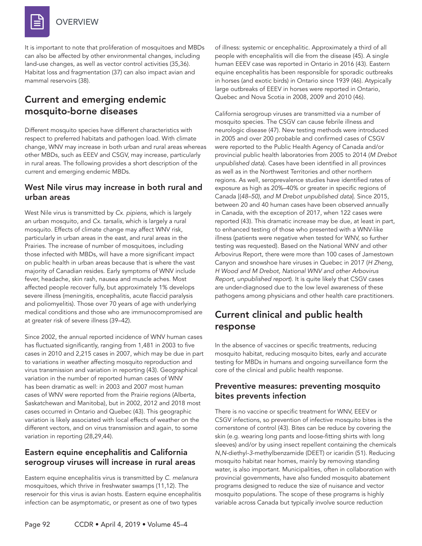

It is important to note that proliferation of mosquitoes and MBDs can also be affected by other environmental changes, including land-use changes, as well as vector control activities (35,36). Habitat loss and fragmentation (37) can also impact avian and mammal reservoirs (38).

# Current and emerging endemic mosquito-borne diseases

Different mosquito species have different characteristics with respect to preferred habitats and pathogen load. With climate change, WNV may increase in both urban and rural areas whereas other MBDs, such as EEEV and CSGV, may increase, particularly in rural areas. The following provides a short description of the current and emerging endemic MBDs.

## West Nile virus may increase in both rural and urban areas

West Nile virus is transmitted by *Cx. pipiens*, which is largely an urban mosquito, and *Cx. tarsalis*, which is largely a rural mosquito. Effects of climate change may affect WNV risk, particularly in urban areas in the east, and rural areas in the Prairies. The increase of number of mosquitoes, including those infected with MBDs, will have a more significant impact on public health in urban areas because that is where the vast majority of Canadian resides. Early symptoms of WNV include fever, headache, skin rash, nausea and muscle aches. Most affected people recover fully, but approximately 1% develops severe illness (meningitis, encephalitis, acute flaccid paralysis and poliomyelitis). Those over 70 years of age with underlying medical conditions and those who are immunocompromised are at greater risk of severe illness (39–42).

Since 2002, the annual reported incidence of WNV human cases has fluctuated significantly, ranging from 1,481 in 2003 to five cases in 2010 and 2,215 cases in 2007, which may be due in part to variations in weather affecting mosquito reproduction and virus transmission and variation in reporting (43). Geographical variation in the number of reported human cases of WNV has been dramatic as well: in 2003 and 2007 most human cases of WNV were reported from the Prairie regions (Alberta, Saskatchewan and Manitoba), but in 2002, 2012 and 2018 most cases occurred in Ontario and Quebec (43). This geographic variation is likely associated with local effects of weather on the different vectors, and on virus transmission and again, to some variation in reporting (28,29,44).

## Eastern equine encephalitis and California serogroup viruses will increase in rural areas

Eastern equine encephalitis virus is transmitted by *C. melanura*  mosquitoes, which thrive in freshwater swamps (11,12). The reservoir for this virus is avian hosts. Eastern equine encephalitis infection can be asymptomatic, or present as one of two types

of illness: systemic or encephalitic. Approximately a third of all people with encephalitis will die from the disease (45). A single human EEEV case was reported in Ontario in 2016 (43). Eastern equine encephalitis has been responsible for sporadic outbreaks in horses (and exotic birds) in Ontario since 1939 (46). Atypically large outbreaks of EEEV in horses were reported in Ontario, Quebec and Nova Scotia in 2008, 2009 and 2010 (46).

California serogroup viruses are transmitted via a number of mosquito species. The CSGV can cause febrile illness and neurologic disease (47). New testing methods were introduced in 2005 and over 200 probable and confirmed cases of CSGV were reported to the Public Health Agency of Canada and/or provincial public health laboratories from 2005 to 2014 (*M Drebot unpublished data*). Cases have been identified in all provinces as well as in the Northwest Territories and other northern regions. As well, seroprevalence studies have identified rates of exposure as high as 20%–40% or greater in specific regions of Canada [(*48–50), and M Drebot unpublished data*]. Since 2015, between 20 and 40 human cases have been observed annually in Canada, with the exception of 2017, when 122 cases were reported (43). This dramatic increase may be due, at least in part, to enhanced testing of those who presented with a WNV-like illness (patients were negative when tested for WNV, so further testing was requested). Based on the National WNV and other Arbovirus Report, there were more than 100 cases of Jamestown Canyon and snowshoe hare viruses in Quebec in 2017 (*H Zheng, H Wood and M Drebot, National WNV and other Arbovirus Report, unpublished report*). It is quite likely that CSGV cases are under-diagnosed due to the low level awareness of these pathogens among physicians and other health care practitioners.

# Current clinical and public health response

In the absence of vaccines or specific treatments, reducing mosquito habitat, reducing mosquito bites, early and accurate testing for MBDs in humans and ongoing surveillance form the core of the clinical and public health response.

## Preventive measures: preventing mosquito bites prevents infection

There is no vaccine or specific treatment for WNV, EEEV or CSGV infections, so prevention of infective mosquito bites is the cornerstone of control (43). Bites can be reduce by covering the skin (e.g. wearing long pants and loose-fitting shirts with long sleeves) and/or by using insect repellent containing the chemicals *N,N*-diethyl-*3*-methylbenzamide (DEET) or icaridin (51). Reducing mosquito habitat near homes, mainly by removing standing water, is also important. Municipalities, often in collaboration with provincial governments, have also funded mosquito abatement programs designed to reduce the size of nuisance and vector mosquito populations. The scope of these programs is highly variable across Canada but typically involve source reduction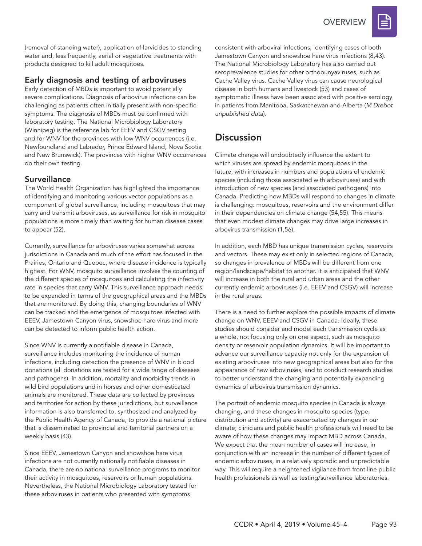**OVERVIEW** 



(removal of standing water), application of larvicides to standing water and, less frequently, aerial or vegetative treatments with products designed to kill adult mosquitoes.

#### Early diagnosis and testing of arboviruses

Early detection of MBDs is important to avoid potentially severe complications. Diagnosis of arbovirus infections can be challenging as patients often initially present with non-specific symptoms. The diagnosis of MBDs must be confirmed with laboratory testing. The National Microbiology Laboratory (Winnipeg) is the reference lab for EEEV and CSGV testing and for WNV for the provinces with low WNV occurrences (i.e. Newfoundland and Labrador, Prince Edward Island, Nova Scotia and New Brunswick). The provinces with higher WNV occurrences do their own testing.

## **Surveillance**

The World Health Organization has highlighted the importance of identifying and monitoring various vector populations as a component of global surveillance, including mosquitoes that may carry and transmit arboviruses, as surveillance for risk in mosquito populations is more timely than waiting for human disease cases to appear (52).

Currently, surveillance for arboviruses varies somewhat across jurisdictions in Canada and much of the effort has focused in the Prairies, Ontario and Quebec, where disease incidence is typically highest. For WNV, mosquito surveillance involves the counting of the different species of mosquitoes and calculating the infectivity rate in species that carry WNV. This surveillance approach needs to be expanded in terms of the geographical areas and the MBDs that are monitored. By doing this, changing boundaries of WNV can be tracked and the emergence of mosquitoes infected with EEEV, Jamestown Canyon virus, snowshoe hare virus and more can be detected to inform public health action.

Since WNV is currently a notifiable disease in Canada, surveillance includes monitoring the incidence of human infections, including detection the presence of WNV in blood donations (all donations are tested for a wide range of diseases and pathogens). In addition, mortality and morbidity trends in wild bird populations and in horses and other domesticated animals are monitored. These data are collected by provinces and territories for action by these jurisdictions, but surveillance information is also transferred to, synthesized and analyzed by the Public Health Agency of Canada, to provide a national picture that is disseminated to provincial and territorial partners on a weekly basis (43).

Since EEEV, Jamestown Canyon and snowshoe hare virus infections are not currently nationally notifiable diseases in Canada, there are no national surveillance programs to monitor their activity in mosquitoes, reservoirs or human populations. Nevertheless, the National Microbiology Laboratory tested for these arboviruses in patients who presented with symptoms

consistent with arboviral infections; identifying cases of both Jamestown Canyon and snowshoe hare virus infections (8,43). The National Microbiology Laboratory has also carried out seroprevalence studies for other orthobunyaviruses, such as Cache Valley virus. Cache Valley virus can cause neurological disease in both humans and livestock (53) and cases of symptomatic illness have been associated with positive serology in patients from Manitoba, Saskatchewan and Alberta (*M Drebot unpublished data*).

## **Discussion**

Climate change will undoubtedly influence the extent to which viruses are spread by endemic mosquitoes in the future, with increases in numbers and populations of endemic species (including those associated with arboviruses) and with introduction of new species (and associated pathogens) into Canada. Predicting how MBDs will respond to changes in climate is challenging: mosquitoes, reservoirs and the environment differ in their dependencies on climate change (54,55). This means that even modest climate changes may drive large increases in arbovirus transmission (1,56).

In addition, each MBD has unique transmission cycles, reservoirs and vectors. These may exist only in selected regions of Canada, so changes in prevalence of MBDs will be different from one region/landscape/habitat to another. It is anticipated that WNV will increase in both the rural and urban areas and the other currently endemic arboviruses (i.e. EEEV and CSGV) will increase in the rural areas.

There is a need to further explore the possible impacts of climate change on WNV, EEEV and CSGV in Canada. Ideally, these studies should consider and model each transmission cycle as a whole, not focusing only on one aspect, such as mosquito density or reservoir population dynamics. It will be important to advance our surveillance capacity not only for the expansion of existing arboviruses into new geographical areas but also for the appearance of new arboviruses, and to conduct research studies to better understand the changing and potentially expanding dynamics of arbovirus transmission dynamics.

The portrait of endemic mosquito species in Canada is always changing, and these changes in mosquito species (type, distribution and activity) are exacerbated by changes in our climate; clinicians and public health professionals will need to be aware of how these changes may impact MBD across Canada. We expect that the mean number of cases will increase, in conjunction with an increase in the number of different types of endemic arboviruses, in a relatively sporadic and unpredictable way. This will require a heightened vigilance from front line public health professionals as well as testing/surveillance laboratories.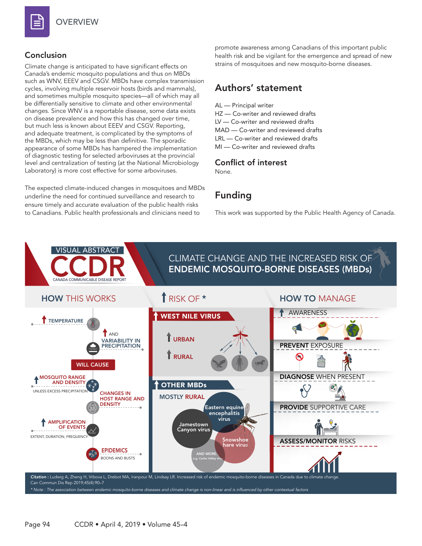

## **OVERVIEW**

## Conclusion

Climate change is anticipated to have significant effects on Canada's endemic mosquito populations and thus on MBDs such as WNV, EEEV and CSGV. MBDs have complex transmission cycles, involving multiple reservoir hosts (birds and mammals), and sometimes multiple mosquito species—all of which may all be differentially sensitive to climate and other environmental changes. Since WNV is a reportable disease, some data exists on disease prevalence and how this has changed over time, but much less is known about EEEV and CSGV. Reporting, and adequate treatment, is complicated by the symptoms of the MBDs, which may be less than definitive. The sporadic appearance of some MBDs has hampered the implementation of diagnostic testing for selected arboviruses at the provincial level and centralization of testing (at the National Microbiology Laboratory) is more cost effective for some arboviruses.

The expected climate-induced changes in mosquitoes and MBDs underline the need for continued surveillance and research to ensure timely and accurate evaluation of the public health risks to Canadians. Public health professionals and clinicians need to

promote awareness among Canadians of this important public health risk and be vigilant for the emergence and spread of new strains of mosquitoes and new mosquito-borne diseases.

## Authors' statement

AL — Principal writer HZ — Co-writer and reviewed drafts LV — Co-writer and reviewed drafts MAD — Co-writer and reviewed drafts LRL — Co-writer and reviewed drafts MI — Co-writer and reviewed drafts

## Conflict of interest

None.

# Funding

This work was supported by the Public Health Agency of Canada.

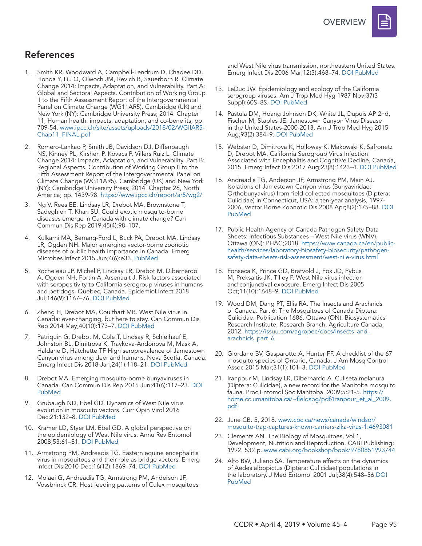

## References

- 1. Smith KR, Woodward A, Campbell-Lendrum D, Chadee DD, Honda Y, Liu Q, Olwoch JM, Revich B, Sauerborn R. Climate Change 2014: Impacts, Adaptation, and Vulnerability. Part A: Global and Sectoral Aspects. Contribution of Working Group II to the Fifth Assessment Report of the Intergovernmental Panel on Climate Change (WG11AR5). Cambridge (UK) and New York (NY): Cambridge University Press; 2014. Chapter 11, Human health: impacts, adaptation, and co-benefits; pp. 709-54. [www.ipcc.ch/site/assets/uploads/2018/02/WGIIAR5-](http://www.ipcc.ch/site/assets/uploads/2018/02/WGIIAR5-Chap11_FINAL.pdf ) [Chap11\\_FINAL.pdf](http://www.ipcc.ch/site/assets/uploads/2018/02/WGIIAR5-Chap11_FINAL.pdf )
- 2. Romero-Lankao P, Smith JB, Davidson DJ, Diffenbaugh NS, Kinney PL, Kirshen P, Kovacs P, Villers Ruiz L. Climate Change 2014: Impacts, Adaptation, and Vulnerability. Part B: Regional Aspects. Contribution of Working Group II to the Fifth Assessment Report of the Intergovernmental Panel on Climate Change (WG11AR5). Cambridge (UK) and New York (NY): Cambridge University Press; 2014. Chapter 26, North America; pp. 1439-98. [https://www.ipcc.ch/report/ar5/wg2/](https://www.ipcc.ch/report/ar5/wg2/ )
- 3. Ng V, Rees EE, Lindsay LR, Drebot MA, Brownstone T, Sadeghieh T, Khan SU. Could exotic mosquito-borne diseases emerge in Canada with climate change? Can Commun Dis Rep 2019;45(4):98–107.
- 4. Kulkarni MA, Berrang-Ford L, Buck PA, Drebot MA, Lindsay LR, Ogden NH. Major emerging vector-borne zoonotic diseases of public health importance in Canada. Emerg Microbes Infect 2015 Jun;4(6):e33[. PubMed](https://www.ncbi.nlm.nih.gov/entrez/query.fcgi?cmd=Retrieve&db=PubMed&list_uids=26954882&dopt=Abstract)
- 5. Rocheleau JP, Michel P, Lindsay LR, Drebot M, Dibernardo A, Ogden NH, Fortin A, Arsenault J. Risk factors associated with seropositivity to California serogroup viruses in humans and pet dogs, Quebec, Canada. Epidemiol Infect 2018 Jul;146(9):1167–76. [DOI](https://doi.org/10.1017/S0950268818001000 ) [PubMed](https://www.ncbi.nlm.nih.gov/entrez/query.fcgi?cmd=Retrieve&db=PubMed&list_uids=29716671&dopt=Abstract)
- Zheng H, Drebot MA, Coulthart MB. West Nile virus in Canada: ever-changing, but here to stay. Can Commun Dis Rep 2014 May;40(10):173–7. [DOI](https://doi.org/10.14745/ccdr.v40i10a01) [PubMed](https://www.ncbi.nlm.nih.gov/pubmed/29769840)
- 7. Patriquin G, Drebot M, Cole T, Lindsay R, Schleihauf E, Johnston BL, Dimitrova K, Traykova-Andonova M, Mask A, Haldane D, Hatchette TF High seroprevalence of Jamestown Canyon virus among deer and humans, Nova Scotia, Canada. Emerg Infect Dis 2018 Jan;24(1):118–21. [DOI](https://doi.org/10.3201/eid2401.170484 ) [PubMed](https://www.ncbi.nlm.nih.gov/entrez/query.fcgi?cmd=Retrieve&db=PubMed&list_uids=29260667&dopt=Abstract)
- 8. Drebot MA. Emerging mosquito-borne bunyaviruses in Canada. Can Commun Dis Rep 2015 Jun;41(6):117–23. [DOI](https://doi.org/10.14745/ccdr.v41i06a01)  [PubMed](https://www.ncbi.nlm.nih.gov/entrez/query.fcgi?cmd=Retrieve&db=PubMed&list_uids=29769943&dopt=Abstract)
- 9. Grubaugh ND, Ebel GD. Dynamics of West Nile virus evolution in mosquito vectors. Curr Opin Virol 2016 Dec;21:132–8. [DOI](https://doi.org/10.1016/j.coviro.2016.09.007) [PubMed](https://www.ncbi.nlm.nih.gov/entrez/query.fcgi?cmd=Retrieve&db=PubMed&list_uids=27788400&dopt=Abstract)
- 10. Kramer LD, Styer LM, Ebel GD. A global perspective on the epidemiology of West Nile virus. Annu Rev Entomol 2008;53:61–81. [DOI](https://doi.org/10.1146/annurev.ento.53.103106.093258) [PubMed](https://www.ncbi.nlm.nih.gov/entrez/query.fcgi?cmd=Retrieve&db=PubMed&list_uids=17645411&dopt=Abstract)
- 11. Armstrong PM, Andreadis TG. Eastern equine encephalitis virus in mosquitoes and their role as bridge vectors. Emerg Infect Dis 2010 Dec;16(12):1869–74. [DOI](https://doi.org/10.3201/eid1612.100640) [PubMed](https://www.ncbi.nlm.nih.gov/entrez/query.fcgi?cmd=Retrieve&db=PubMed&list_uids=21122215&dopt=Abstract)
- 12. Molaei G, Andreadis TG, Armstrong PM, Anderson JF, Vossbrinck CR. Host feeding patterns of Culex mosquitoes

and West Nile virus transmission, northeastern United States. Emerg Infect Dis 2006 Mar;12(3):468–74. [DOI](https://doi.org/10.3201/eid1203.051004) [PubMed](https://www.ncbi.nlm.nih.gov/entrez/query.fcgi?cmd=Retrieve&db=PubMed&list_uids=16704786&dopt=Abstract)

- 13. LeDuc JW. Epidemiology and ecology of the California serogroup viruses. Am J Trop Med Hyg 1987 Nov;37(3 Suppl):60S–8S. [DOI](https://doi.org/10.4269/ajtmh.1987.37.60S ) [PubMed](https://www.ncbi.nlm.nih.gov/entrez/query.fcgi?cmd=Retrieve&db=PubMed&list_uids=2891311&dopt=Abstract)
- 14. Pastula DM, Hoang Johnson DK, White JL, Dupuis AP 2nd, Fischer M, Staples JE. Jamestown Canyon Virus Disease in the United States-2000-2013. Am J Trop Med Hyg 2015 Aug;93(2):384–9. [DOI](https://doi.org/10.4269/ajtmh.15-0196 ) [PubMed](https://www.ncbi.nlm.nih.gov/entrez/query.fcgi?cmd=Retrieve&db=PubMed&list_uids=26033022&dopt=Abstract)
- 15. Webster D, Dimitrova K, Holloway K, Makowski K, Safronetz D, Drebot MA. California Serogroup Virus Infection Associated with Encephalitis and Cognitive Decline, Canada, 2015. Emerg Infect Dis 2017 Aug;23(8):1423–4. [DOI](https://doi.org/10.3201/eid2308.170239 ) [PubMed](https://www.ncbi.nlm.nih.gov/entrez/query.fcgi?cmd=Retrieve&db=PubMed&list_uids=28726628&dopt=Abstract)
- 16. Andreadis TG, Anderson JF, Armstrong PM, Main AJ. Isolations of Jamestown Canyon virus (Bunyaviridae: Orthobunyavirus) from field-collected mosquitoes (Diptera: Culicidae) in Connecticut, USA: a ten-year analysis, 1997- 2006. Vector Borne Zoonotic Dis 2008 Apr;8(2):175–88. [DOI](https://doi.org/10.1089/vbz.2007.0169)  [PubMed](https://www.ncbi.nlm.nih.gov/entrez/query.fcgi?cmd=Retrieve&db=PubMed&list_uids=18386967&dopt=Abstract)
- 17. Public Health Agency of Canada Pathogen Safety Data Sheets: Infectious Substances – West Nile virus (WNV). Ottawa (ON): PHAC;2018. [https://www.canada.ca/en/public](https://www.canada.ca/en/public-health/services/laboratory-biosafety-biosecurity/pathogen-safety-data-sheets-risk-assessment/west-nile-virus.html)[health/services/laboratory-biosafety-biosecurity/pathogen](https://www.canada.ca/en/public-health/services/laboratory-biosafety-biosecurity/pathogen-safety-data-sheets-risk-assessment/west-nile-virus.html)[safety-data-sheets-risk-assessment/west-nile-virus.html](https://www.canada.ca/en/public-health/services/laboratory-biosafety-biosecurity/pathogen-safety-data-sheets-risk-assessment/west-nile-virus.html)
- 18. Fonseca K, Prince GD, Bratvold J, Fox JD, Pybus M, Preksaitis JK, Tilley P. West Nile virus infection and conjunctival exposure. Emerg Infect Dis 2005 Oct;11(10):1648–9. [DOI](https://doi.org/10.3201/eid1110.040212 ) [PubMed](https://www.ncbi.nlm.nih.gov/entrez/query.fcgi?cmd=Retrieve&db=PubMed&list_uids=16355512&dopt=Abstract)
- 19. Wood DM, Dang PT, Ellis RA. The Insects and Arachnids of Canada. Part 6: The Mosquitoes of Canada Diptera: Culicidae. Publication 1686. Ottawa (ON): Biosystematics Research Institute, Research Branch, Agriculture Canada; 2012. [https://issuu.com/agropec/docs/insects\\_and\\_](https://issuu.com/agropec/docs/insects_and_arachnids_part_6) [arachnids\\_part\\_6](https://issuu.com/agropec/docs/insects_and_arachnids_part_6)
- 20. Giordano BV, Gasparotto A, Hunter FF. A checklist of the 67 mosquito species of Ontario, Canada. J Am Mosq Control Assoc 2015 Mar;31(1):101–3. [DOI](https://doi.org/10.2987/14-6456R.1) [PubMed](https://www.ncbi.nlm.nih.gov/entrez/query.fcgi?cmd=Retrieve&db=PubMed&list_uids=25843183&dopt=Abstract)
- 21. Iranpour M, Lindsay LR, Dibernardo A. Culiseta melanura (Diptera: Culicidae), a new record for the Manitoba mosquito fauna. Proc Entomol Soc Manitoba. 2009;5:21-5. [https://](https://home.cc.umanitoba.ca/~fieldspg/pdf/Iranpour_et_al_2009.pdf
) [home.cc.umanitoba.ca/~fieldspg/pdf/Iranpour\\_et\\_al\\_2009.](https://home.cc.umanitoba.ca/~fieldspg/pdf/Iranpour_et_al_2009.pdf
) [pdf](https://home.cc.umanitoba.ca/~fieldspg/pdf/Iranpour_et_al_2009.pdf
)
- 22. June CB. 5, 2018. [www.cbc.ca/news/canada/windsor/](http://www.cbc.ca/news/canada/windsor/mosquito-trap-captures-known-carriers-zika-virus-1.4693081
) [mosquito-trap-captures-known-carriers-zika-virus-1.4693081](http://www.cbc.ca/news/canada/windsor/mosquito-trap-captures-known-carriers-zika-virus-1.4693081
)
- 23. Clements AN. The Biology of Mosquitoes, Vol 1, Development, Nutrition and Reproduction. CABI Publishing; 1992. 532 p. [www.cabi.org/bookshop/book/9780851993744](http://www.cabi.org/bookshop/book/9780851993744 )
- 24. Alto BW, Juliano SA. Temperature effects on the dynamics of Aedes albopictus (Diptera: Culicidae) populations in the laboratory. J Med Entomol 2001 Jul;38(4):548–56.[DOI](https://doi.org/10.1603/0022-2585-38.4.548) [PubMed](https://www.ncbi.nlm.nih.gov/entrez/query.fcgi?cmd=Retrieve&db=PubMed&list_uids=11476335&dopt=Abstract)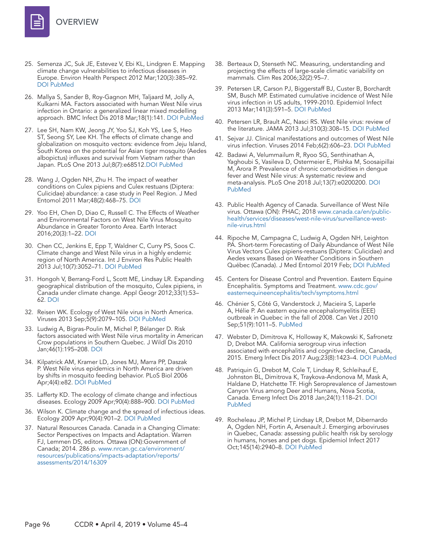

- 25. Semenza JC, Suk JE, Estevez V, Ebi KL, Lindgren E. Mapping climate change vulnerabilities to infectious diseases in Europe. Environ Health Perspect 2012 Mar;120(3):385–92. [DOI](https://doi.org/10.1289/ehp.1103805) [PubMed](https://www.ncbi.nlm.nih.gov/entrez/query.fcgi?cmd=Retrieve&db=PubMed&list_uids=22113877&dopt=Abstract)
- 26. Mallya S, Sander B, Roy-Gagnon MH, Taljaard M, Jolly A, Kulkarni MA. Factors associated with human West Nile virus infection in Ontario: a generalized linear mixed modelling approach. BMC Infect Dis 2018 Mar;18(1):141. [DOI](https://doi.org/10.1186/s12879-018-3052-6) [PubMed](https://www.ncbi.nlm.nih.gov/entrez/query.fcgi?cmd=Retrieve&db=PubMed&list_uids=29587649&dopt=Abstract)
- 27. Lee SH, Nam KW, Jeong JY, Yoo SJ, Koh YS, Lee S, Heo ST, Seong SY, Lee KH. The effects of climate change and globalization on mosquito vectors: evidence from Jeju Island, South Korea on the potential for Asian tiger mosquito (Aedes albopictus) influxes and survival from Vietnam rather than Japan. PLoS One 2013 Jul;8(7):e68512.[DOI](https://doi.org/10.1371/journal.pone.0068512) [PubMed](https://www.ncbi.nlm.nih.gov/entrez/query.fcgi?cmd=Retrieve&db=PubMed&list_uids=23894312&dopt=Abstract)
- 28. Wang J, Ogden NH, Zhu H. The impact of weather conditions on Culex pipiens and Culex restuans (Diptera: Culicidae) abundance: a case study in Peel Region. J Med Entomol 2011 Mar;48(2):468–75. [DOI](https://doi.org/10.1603/ME10117)
- 29. Yoo EH, Chen D, Diao C, Russell C. The Effects of Weather and Environmental Factors on West Nile Virus Mosquito Abundance in Greater Toronto Area. Earth Interact 2016;20(3):1–22. [DOI](https://doi.org/10.1175/EI-D-15-0003.1)
- 30. Chen CC, Jenkins E, Epp T, Waldner C, Curry PS, Soos C. Climate change and West Nile virus in a highly endemic region of North America. Int J Environ Res Public Health 2013 Jul;10(7):3052–71. [DOI](https://doi.org/10.3390/ijerph10073052 ) [PubMed](https://www.ncbi.nlm.nih.gov/entrez/query.fcgi?cmd=Retrieve&db=PubMed&list_uids=23880729&dopt=Abstract)
- 31. Hongoh V, Berrang-Ford L, Scott ME, Lindsay LR. Expanding geographical distribution of the mosquito, Culex pipiens, in Canada under climate change. Appl Geogr 2012;33(1):53– 62. [DOI](https://doi.org/10.1016/j.apgeog.2011.05.015)
- 32. Reisen WK. Ecology of West Nile virus in North America. Viruses 2013 Sep;5(9):2079–105. [DOI](https://doi.org/10.3390/v5092079) [PubMed](https://www.ncbi.nlm.nih.gov/entrez/query.fcgi?cmd=Retrieve&db=PubMed&list_uids=24008376&dopt=Abstract)
- 33. Ludwig A, Bigras-Poulin M, Michel P, Bélanger D. Risk factors associated with West Nile virus mortality in American Crow populations in Southern Quebec. J Wildl Dis 2010 Jan;46(1):195–208. [DOI](https://doi.org/10.7589/0090-3558-46.1.195)
- 34. Kilpatrick AM, Kramer LD, Jones MJ, Marra PP, Daszak P. West Nile virus epidemics in North America are driven by shifts in mosquito feeding behavior. PLoS Biol 2006 Apr;4(4):e82. [DOI](https://doi.org/10.1371/journal.pbio.0040082) [PubMed](https://www.ncbi.nlm.nih.gov/entrez/query.fcgi?cmd=Retrieve&db=PubMed&list_uids=16494532&dopt=Abstract)
- 35. Lafferty KD. The ecology of climate change and infectious diseases. Ecology 2009 Apr;90(4):888–900. [DOI](https://doi.org/10.1890/08-0079.1) [PubMed](https://www.ncbi.nlm.nih.gov/entrez/query.fcgi?cmd=Retrieve&db=PubMed&list_uids=19449681&dopt=Abstract)
- 36. Wilson K. Climate change and the spread of infectious ideas. Ecology 2009 Apr;90(4):901–2. [DOI](https://doi.org/10.1890/08-2027.1) [PubMed](https://www.ncbi.nlm.nih.gov/entrez/query.fcgi?cmd=Retrieve&db=PubMed&list_uids=19449682&dopt=Abstract)
- 37. Natural Resources Canada. Canada in a Changing Climate: Sector Perspectives on Impacts and Adaptation. Warren FJ, Lemmen DS, editors. Ottawa (ON):Government of Canada; 2014. 286 p. [www.nrcan.gc.ca/environment/](http://www.nrcan.gc.ca/environment/resources/publications/impacts-adaptation/reports/assessments/2014/16309) [resources/publications/impacts-adaptation/reports/](http://www.nrcan.gc.ca/environment/resources/publications/impacts-adaptation/reports/assessments/2014/16309) [assessments/2014/16309](http://www.nrcan.gc.ca/environment/resources/publications/impacts-adaptation/reports/assessments/2014/16309)
- 38. Berteaux D, Stenseth NC. Measuring, understanding and projecting the effects of large-scale climatic variability on mammals. Clim Res 2006;32(2):95–7.
- 39. Petersen LR, Carson PJ, Biggerstaff BJ, Custer B, Borchardt SM, Busch MP. Estimated cumulative incidence of West Nile virus infection in US adults, 1999-2010. Epidemiol Infect 2013 Mar;141(3):591–5. [DOI](https://doi.org/10.1017/S0950268812001070) [PubMed](https://www.ncbi.nlm.nih.gov/entrez/query.fcgi?cmd=Retrieve&db=PubMed&list_uids=22640592&dopt=Abstract)
- 40. Petersen LR, Brault AC, Nasci RS. West Nile virus: review of the literature. JAMA 2013 Jul;310(3):308–15. [DOI](https://doi.org/10.1001/jama.2013.8042) [PubMed](https://www.ncbi.nlm.nih.gov/entrez/query.fcgi?cmd=Retrieve&db=PubMed&list_uids=23860989&dopt=Abstract)
- 41. Sejvar JJ. Clinical manifestations and outcomes of West Nile virus infection. Viruses 2014 Feb;6(2):606–23. [DOI](https://doi.org/10.3390/v6020606) [PubMed](https://www.ncbi.nlm.nih.gov/entrez/query.fcgi?cmd=Retrieve&db=PubMed&list_uids=24509812&dopt=Abstract)
- 42. Badawi A, Velummailum R, Ryoo SG, Senthinathan A, Yaghoubi S, Vasileva D, Ostermeier E, Plishka M, Soosaipillai M, Arora P. Prevalence of chronic comorbidities in dengue fever and West Nile virus: A systematic review and meta-analysis. PLoS One 2018 Jul;13(7):e0200200. [DOI](https://doi.org/10.1371/journal.pone.0200200)  [PubMed](https://www.ncbi.nlm.nih.gov/entrez/query.fcgi?cmd=Retrieve&db=PubMed&list_uids=29990356&dopt=Abstract)
- 43. Public Health Agency of Canada. Surveillance of West Nile virus. Ottawa (ON): PHAC; 2018 [www.canada.ca/en/public](http://www.canada.ca/en/public-health/services/diseases/west-nile-virus/surveillance-west-nile-virus.html )[health/services/diseases/west-nile-virus/surveillance-west](http://www.canada.ca/en/public-health/services/diseases/west-nile-virus/surveillance-west-nile-virus.html )[nile-virus.html](http://www.canada.ca/en/public-health/services/diseases/west-nile-virus/surveillance-west-nile-virus.html )
- 44. Ripoche M, Campagna C, Ludwig A, Ogden NH, Leighton PA. Short-term Forecasting of Daily Abundance of West Nile Virus Vectors Culex pipiens-restuans (Diptera: Culicidae) and Aedes vexans Based on Weather Conditions in Southern Québec (Canada). J Med Entomol 2019 Feb; [DOI](https://doi.org/10.1093/jme/tjz002) [PubMed](https://www.ncbi.nlm.nih.gov/entrez/query.fcgi?cmd=Retrieve&db=PubMed&list_uids=30753555&dopt=Abstract)
- 45. Centers for Disease Control and Prevention. Eastern Equine Encephalitis. Symptoms and Treatment. [www.cdc.gov/](http://www.cdc.gov/easternequineencephalitis/tech/symptoms.html ) [easternequineencephalitis/tech/symptoms.html](http://www.cdc.gov/easternequineencephalitis/tech/symptoms.html )
- 46. Chénier S, Côté G, Vanderstock J, Macieira S, Laperle A, Hélie P. An eastern equine encephalomyelitis (EEE) outbreak in Quebec in the fall of 2008. Can Vet J 2010 Sep;51(9):1011–5[. PubMed](https://www.ncbi.nlm.nih.gov/entrez/query.fcgi?cmd=Retrieve&db=PubMed&list_uids=21119870&dopt=Abstract)
- 47. Webster D, Dimitrova K, Holloway K, Makowski K, Safronetz D, Drebot MA. California serogroup virus infection associated with encephalitis and cognitive decline, Canada, 2015. Emerg Infect Dis 2017 Aug;23(8):1423–4. [DOI](https://doi.org/10.3201/eid2308.170239) [PubMed](https://www.ncbi.nlm.nih.gov/entrez/query.fcgi?cmd=Retrieve&db=PubMed&list_uids=28726628&dopt=Abstract)
- 48. Patriquin G, Drebot M, Cole T, Lindsay R, Schleihauf E, Johnston BL, Dimitrova K, Traykova-Andonova M, Mask A, Haldane D, Hatchette TF. High Seroprevalence of Jamestown Canyon Virus among Deer and Humans, Nova Scotia, Canada. Emerg Infect Dis 2018 Jan;24(1):118–21. [DOI](https://doi.org/10.3201/eid2401.170484) [PubMed](https://www.ncbi.nlm.nih.gov/entrez/query.fcgi?cmd=Retrieve&db=PubMed&list_uids=29260667&dopt=Abstract)
- 49. Rocheleau JP, Michel P, Lindsay LR, Drebot M, Dibernardo A, Ogden NH, Fortin A, Arsenault J. Emerging arboviruses in Quebec, Canada: assessing public health risk by serology in humans, horses and pet dogs. Epidemiol Infect 2017 Oct;145(14):2940–8. [DOI](https://doi.org/10.1017/S0950268817002205) [PubMed](https://www.ncbi.nlm.nih.gov/entrez/query.fcgi?cmd=Retrieve&db=PubMed&list_uids=28956525&dopt=Abstract)